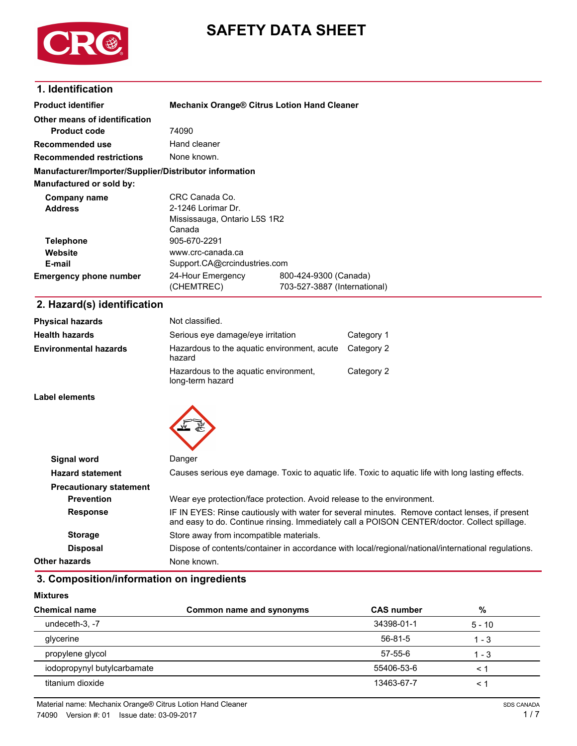

# **SAFETY DATA SHEET**

# **1. Identification**

| <b>Product identifier</b>                              |                              | <b>Mechanix Orange® Citrus Lotion Hand Cleaner</b> |
|--------------------------------------------------------|------------------------------|----------------------------------------------------|
| Other means of identification                          |                              |                                                    |
| <b>Product code</b>                                    | 74090                        |                                                    |
| Recommended use                                        | Hand cleaner                 |                                                    |
| <b>Recommended restrictions</b>                        | None known.                  |                                                    |
| Manufacturer/Importer/Supplier/Distributor information |                              |                                                    |
| Manufactured or sold by:                               |                              |                                                    |
| Company name                                           | CRC Canada Co.               |                                                    |
| <b>Address</b>                                         | 2-1246 Lorimar Dr.           |                                                    |
|                                                        | Mississauga, Ontario L5S 1R2 |                                                    |
|                                                        | Canada                       |                                                    |
| <b>Telephone</b>                                       | 905-670-2291                 |                                                    |
| Website                                                | www.crc-canada.ca            |                                                    |
| E-mail                                                 | Support.CA@crcindustries.com |                                                    |
| <b>Emergency phone number</b>                          | 24-Hour Emergency            | 800-424-9300 (Canada)                              |
|                                                        | (CHEMTREC)                   | 703-527-3887 (International)                       |
| - --                                                   |                              |                                                    |

## **2. Hazard(s) identification**

| <b>Physical hazards</b>      | Not classified.                                           |            |
|------------------------------|-----------------------------------------------------------|------------|
| <b>Health hazards</b>        | Serious eye damage/eye irritation                         | Category 1 |
| <b>Environmental hazards</b> | Hazardous to the aquatic environment, acute<br>hazard     | Category 2 |
|                              | Hazardous to the aquatic environment,<br>long-term hazard | Category 2 |

**Label elements**



| Signal word                    | Danger                                                                                                                                                                                         |
|--------------------------------|------------------------------------------------------------------------------------------------------------------------------------------------------------------------------------------------|
| <b>Hazard statement</b>        | Causes serious eye damage. Toxic to aquatic life. Toxic to aquatic life with long lasting effects.                                                                                             |
| <b>Precautionary statement</b> |                                                                                                                                                                                                |
| <b>Prevention</b>              | Wear eye protection/face protection. Avoid release to the environment.                                                                                                                         |
| <b>Response</b>                | IF IN EYES: Rinse cautiously with water for several minutes. Remove contact lenses, if present<br>and easy to do. Continue rinsing. Immediately call a POISON CENTER/doctor. Collect spillage. |
| <b>Storage</b>                 | Store away from incompatible materials.                                                                                                                                                        |
| <b>Disposal</b>                | Dispose of contents/container in accordance with local/regional/national/international regulations.                                                                                            |
| Other hazards                  | None known.                                                                                                                                                                                    |

# **3. Composition/information on ingredients**

| <b>Mixtures</b> |
|-----------------|
|-----------------|

| <b>Chemical name</b>        | Common name and synonyms | <b>CAS number</b> | %        |
|-----------------------------|--------------------------|-------------------|----------|
| undeceth-3, -7              |                          | 34398-01-1        | $5 - 10$ |
| glycerine                   |                          | 56-81-5           | $1 - 3$  |
| propylene glycol            |                          | 57-55-6           | $1 - 3$  |
| iodopropynyl butylcarbamate |                          | 55406-53-6        | ≺ 1      |
| titanium dioxide            |                          | 13463-67-7        | < '      |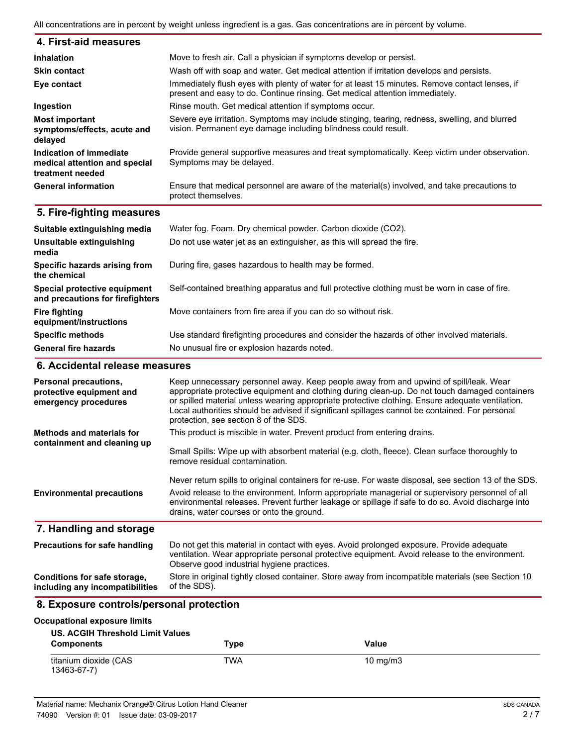All concentrations are in percent by weight unless ingredient is a gas. Gas concentrations are in percent by volume.

| 4. First-aid measures                                                        |                                                                                                                                                                                |
|------------------------------------------------------------------------------|--------------------------------------------------------------------------------------------------------------------------------------------------------------------------------|
| <b>Inhalation</b>                                                            | Move to fresh air. Call a physician if symptoms develop or persist.                                                                                                            |
| <b>Skin contact</b>                                                          | Wash off with soap and water. Get medical attention if irritation develops and persists.                                                                                       |
| Eye contact                                                                  | Immediately flush eyes with plenty of water for at least 15 minutes. Remove contact lenses, if<br>present and easy to do. Continue rinsing. Get medical attention immediately. |
| Ingestion                                                                    | Rinse mouth. Get medical attention if symptoms occur.                                                                                                                          |
| <b>Most important</b><br>symptoms/effects, acute and<br>delayed              | Severe eye irritation. Symptoms may include stinging, tearing, redness, swelling, and blurred<br>vision. Permanent eye damage including blindness could result.                |
| Indication of immediate<br>medical attention and special<br>treatment needed | Provide general supportive measures and treat symptomatically. Keep victim under observation.<br>Symptoms may be delayed.                                                      |
| <b>General information</b>                                                   | Ensure that medical personnel are aware of the material(s) involved, and take precautions to<br>protect themselves.                                                            |

## **5. Fire-fighting measures**

| Suitable extinguishing media                                     | Water fog. Foam. Dry chemical powder. Carbon dioxide (CO2).                                   |
|------------------------------------------------------------------|-----------------------------------------------------------------------------------------------|
| Unsuitable extinguishing<br>media                                | Do not use water jet as an extinguisher, as this will spread the fire.                        |
| Specific hazards arising from<br>the chemical                    | During fire, gases hazardous to health may be formed.                                         |
| Special protective equipment<br>and precautions for firefighters | Self-contained breathing apparatus and full protective clothing must be worn in case of fire. |
| <b>Fire fighting</b><br>equipment/instructions                   | Move containers from fire area if you can do so without risk.                                 |
| <b>Specific methods</b>                                          | Use standard firefighting procedures and consider the hazards of other involved materials.    |
| <b>General fire hazards</b>                                      | No unusual fire or explosion hazards noted.                                                   |

## **6. Accidental release measures**

| Personal precautions,<br>protective equipment and<br>emergency procedures | Keep unnecessary personnel away. Keep people away from and upwind of spill/leak. Wear<br>appropriate protective equipment and clothing during clean-up. Do not touch damaged containers<br>or spilled material unless wearing appropriate protective clothing. Ensure adequate ventilation.<br>Local authorities should be advised if significant spillages cannot be contained. For personal<br>protection, see section 8 of the SDS. |
|---------------------------------------------------------------------------|----------------------------------------------------------------------------------------------------------------------------------------------------------------------------------------------------------------------------------------------------------------------------------------------------------------------------------------------------------------------------------------------------------------------------------------|
| <b>Methods and materials for</b><br>containment and cleaning up           | This product is miscible in water. Prevent product from entering drains.                                                                                                                                                                                                                                                                                                                                                               |
|                                                                           | Small Spills: Wipe up with absorbent material (e.g. cloth, fleece). Clean surface thoroughly to<br>remove residual contamination.                                                                                                                                                                                                                                                                                                      |
|                                                                           | Never return spills to original containers for re-use. For waste disposal, see section 13 of the SDS.                                                                                                                                                                                                                                                                                                                                  |
| <b>Environmental precautions</b>                                          | Avoid release to the environment. Inform appropriate managerial or supervisory personnel of all<br>environmental releases. Prevent further leakage or spillage if safe to do so. Avoid discharge into<br>drains, water courses or onto the ground.                                                                                                                                                                                     |
| 7. Handling and storage                                                   |                                                                                                                                                                                                                                                                                                                                                                                                                                        |
| <b>Precautions for safe handling</b>                                      | Do not get this material in contact with eyes. Avoid prolonged exposure. Provide adequate<br>ventilation. Wear appropriate personal protective equipment. Avoid release to the environment.<br>Observe good industrial hygiene practices.                                                                                                                                                                                              |
| Conditions for safe storage,<br>including any incompatibilities           | Store in original tightly closed container. Store away from incompatible materials (see Section 10<br>of the SDS).                                                                                                                                                                                                                                                                                                                     |

# **8. Exposure controls/personal protection**

#### **Occupational exposure limits**

| <b>US. ACGIH Threshold Limit Values</b><br><b>Components</b> | Type | Value             |
|--------------------------------------------------------------|------|-------------------|
| titanium dioxide (CAS<br>13463-67-7)                         | TWA  | $10 \text{ mg/m}$ |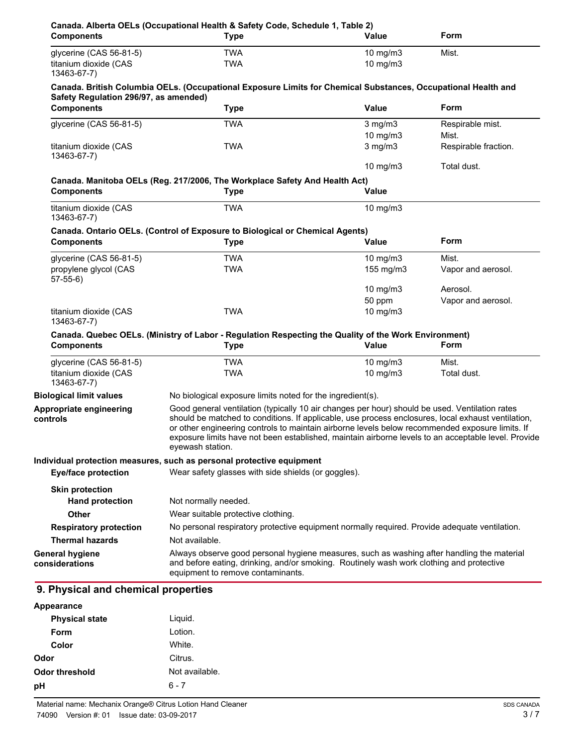| <b>Components</b>                                               | Canada. Alberta OELs (Occupational Health & Safety Code, Schedule 1, Table 2)<br><b>Type</b>                                                                                                                                                                                                                                                                                                                                       | Value                                                                                    | Form                 |
|-----------------------------------------------------------------|------------------------------------------------------------------------------------------------------------------------------------------------------------------------------------------------------------------------------------------------------------------------------------------------------------------------------------------------------------------------------------------------------------------------------------|------------------------------------------------------------------------------------------|----------------------|
| glycerine (CAS 56-81-5)<br>titanium dioxide (CAS<br>13463-67-7) | <b>TWA</b><br><b>TWA</b>                                                                                                                                                                                                                                                                                                                                                                                                           | 10 $mg/m3$<br>10 mg/m3                                                                   | Mist.                |
|                                                                 | Canada. British Columbia OELs. (Occupational Exposure Limits for Chemical Substances, Occupational Health and                                                                                                                                                                                                                                                                                                                      |                                                                                          |                      |
| Safety Regulation 296/97, as amended)                           |                                                                                                                                                                                                                                                                                                                                                                                                                                    |                                                                                          |                      |
| <b>Components</b>                                               | <b>Type</b>                                                                                                                                                                                                                                                                                                                                                                                                                        | <b>Value</b>                                                                             | Form                 |
| glycerine (CAS 56-81-5)                                         | <b>TWA</b>                                                                                                                                                                                                                                                                                                                                                                                                                         | $3$ mg/m $3$                                                                             | Respirable mist.     |
|                                                                 |                                                                                                                                                                                                                                                                                                                                                                                                                                    | 10 mg/m $3$                                                                              | Mist.                |
| titanium dioxide (CAS<br>13463-67-7)                            | <b>TWA</b>                                                                                                                                                                                                                                                                                                                                                                                                                         | $3$ mg/m $3$                                                                             | Respirable fraction. |
|                                                                 |                                                                                                                                                                                                                                                                                                                                                                                                                                    | 10 mg/m3                                                                                 | Total dust.          |
|                                                                 | Canada. Manitoba OELs (Reg. 217/2006, The Workplace Safety And Health Act)                                                                                                                                                                                                                                                                                                                                                         |                                                                                          |                      |
| <b>Components</b>                                               | <b>Type</b>                                                                                                                                                                                                                                                                                                                                                                                                                        | <b>Value</b>                                                                             |                      |
| titanium dioxide (CAS<br>13463-67-7)                            | <b>TWA</b>                                                                                                                                                                                                                                                                                                                                                                                                                         | 10 $mg/m3$                                                                               |                      |
|                                                                 | Canada. Ontario OELs. (Control of Exposure to Biological or Chemical Agents)                                                                                                                                                                                                                                                                                                                                                       |                                                                                          |                      |
| <b>Components</b>                                               | <b>Type</b>                                                                                                                                                                                                                                                                                                                                                                                                                        | <b>Value</b>                                                                             | Form                 |
| glycerine (CAS 56-81-5)                                         | <b>TWA</b>                                                                                                                                                                                                                                                                                                                                                                                                                         | 10 mg/m $3$                                                                              | Mist.                |
| propylene glycol (CAS<br>$57-55-6$                              | <b>TWA</b>                                                                                                                                                                                                                                                                                                                                                                                                                         | 155 mg/m3                                                                                | Vapor and aerosol.   |
|                                                                 |                                                                                                                                                                                                                                                                                                                                                                                                                                    | 10 mg/m3                                                                                 | Aerosol.             |
|                                                                 |                                                                                                                                                                                                                                                                                                                                                                                                                                    | 50 ppm                                                                                   | Vapor and aerosol.   |
| titanium dioxide (CAS<br>13463-67-7)                            | <b>TWA</b>                                                                                                                                                                                                                                                                                                                                                                                                                         | 10 mg/m3                                                                                 |                      |
|                                                                 | Canada. Quebec OELs. (Ministry of Labor - Regulation Respecting the Quality of the Work Environment)                                                                                                                                                                                                                                                                                                                               |                                                                                          |                      |
| <b>Components</b>                                               | <b>Type</b>                                                                                                                                                                                                                                                                                                                                                                                                                        | Value                                                                                    | <b>Form</b>          |
| glycerine (CAS 56-81-5)                                         | <b>TWA</b>                                                                                                                                                                                                                                                                                                                                                                                                                         | 10 mg/m $3$                                                                              | Mist.                |
| titanium dioxide (CAS<br>13463-67-7)                            | <b>TWA</b>                                                                                                                                                                                                                                                                                                                                                                                                                         | 10 mg/m3                                                                                 | Total dust.          |
| <b>Biological limit values</b>                                  | No biological exposure limits noted for the ingredient(s).                                                                                                                                                                                                                                                                                                                                                                         |                                                                                          |                      |
| Appropriate engineering<br>controls                             | Good general ventilation (typically 10 air changes per hour) should be used. Ventilation rates<br>should be matched to conditions. If applicable, use process enclosures, local exhaust ventilation,<br>or other engineering controls to maintain airborne levels below recommended exposure limits. If<br>exposure limits have not been established, maintain airborne levels to an acceptable level. Provide<br>eyewash station. |                                                                                          |                      |
| <b>Eye/face protection</b>                                      | Individual protection measures, such as personal protective equipment<br>Wear safety glasses with side shields (or goggles).                                                                                                                                                                                                                                                                                                       |                                                                                          |                      |
| <b>Skin protection</b>                                          |                                                                                                                                                                                                                                                                                                                                                                                                                                    |                                                                                          |                      |
| <b>Hand protection</b>                                          | Not normally needed.                                                                                                                                                                                                                                                                                                                                                                                                               |                                                                                          |                      |
| Other                                                           | Wear suitable protective clothing.                                                                                                                                                                                                                                                                                                                                                                                                 |                                                                                          |                      |
| <b>Respiratory protection</b>                                   | No personal respiratory protective equipment normally required. Provide adequate ventilation.                                                                                                                                                                                                                                                                                                                                      |                                                                                          |                      |
| <b>Thermal hazards</b>                                          | Not available.                                                                                                                                                                                                                                                                                                                                                                                                                     |                                                                                          |                      |
| <b>General hygiene</b>                                          | Always observe good personal hygiene measures, such as washing after handling the material                                                                                                                                                                                                                                                                                                                                         |                                                                                          |                      |
|                                                                 |                                                                                                                                                                                                                                                                                                                                                                                                                                    | and before eating, drinking, and/or smoking. Routinely wash work clothing and protective |                      |

| <b>Appearance</b>     |                |  |
|-----------------------|----------------|--|
| <b>Physical state</b> | Liquid.        |  |
| Form                  | Lotion.        |  |
| Color                 | White.         |  |
| Odor                  | Citrus.        |  |
| <b>Odor threshold</b> | Not available. |  |
| pH                    | $6 - 7$        |  |
|                       |                |  |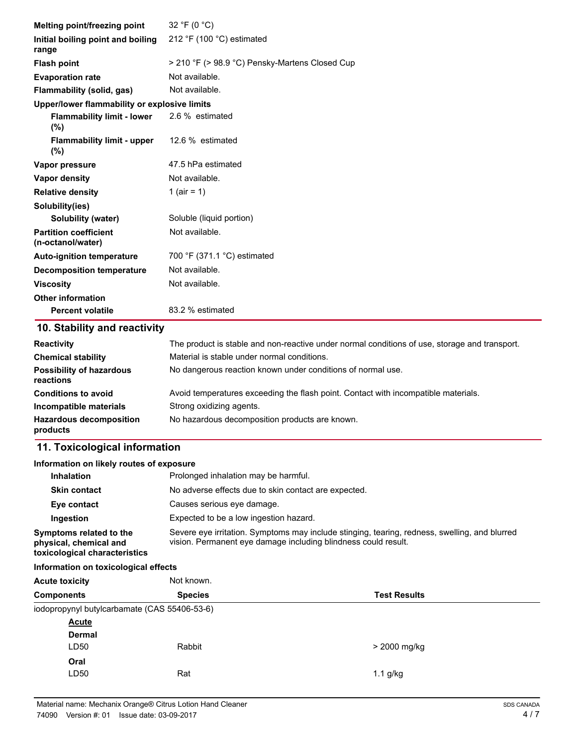| Melting point/freezing point                      | 32 °F (0 °C)                                   |
|---------------------------------------------------|------------------------------------------------|
| Initial boiling point and boiling<br>range        | 212 °F (100 °C) estimated                      |
| <b>Flash point</b>                                | > 210 °F (> 98.9 °C) Pensky-Martens Closed Cup |
| <b>Evaporation rate</b>                           | Not available.                                 |
| <b>Flammability (solid, gas)</b>                  | Not available.                                 |
| Upper/lower flammability or explosive limits      |                                                |
| <b>Flammability limit - lower</b><br>$(\%)$       | 2.6 % estimated                                |
| <b>Flammability limit - upper</b><br>$(\% )$      | 12.6 % estimated                               |
| Vapor pressure                                    | 47.5 hPa estimated                             |
| Vapor density                                     | Not available.                                 |
| <b>Relative density</b>                           | 1 (air = 1)                                    |
| Solubility(ies)                                   |                                                |
| <b>Solubility (water)</b>                         | Soluble (liquid portion)                       |
| <b>Partition coefficient</b><br>(n-octanol/water) | Not available.                                 |
| <b>Auto-ignition temperature</b>                  | 700 °F (371.1 °C) estimated                    |
| <b>Decomposition temperature</b>                  | Not available.                                 |
| <b>Viscosity</b>                                  | Not available.                                 |
| <b>Other information</b>                          |                                                |
| <b>Percent volatile</b>                           | 83.2 % estimated                               |

# **10. Stability and reactivity**

| <b>Reactivity</b>                            | The product is stable and non-reactive under normal conditions of use, storage and transport. |
|----------------------------------------------|-----------------------------------------------------------------------------------------------|
| <b>Chemical stability</b>                    | Material is stable under normal conditions.                                                   |
| <b>Possibility of hazardous</b><br>reactions | No dangerous reaction known under conditions of normal use.                                   |
| <b>Conditions to avoid</b>                   | Avoid temperatures exceeding the flash point. Contact with incompatible materials.            |
| Incompatible materials                       | Strong oxidizing agents.                                                                      |
| <b>Hazardous decomposition</b><br>products   | No hazardous decomposition products are known.                                                |

# **11. Toxicological information**

| Information on likely routes of exposure                                           |                                                      |                                                                                                                                                                 |
|------------------------------------------------------------------------------------|------------------------------------------------------|-----------------------------------------------------------------------------------------------------------------------------------------------------------------|
| <b>Inhalation</b>                                                                  | Prolonged inhalation may be harmful.                 |                                                                                                                                                                 |
| <b>Skin contact</b>                                                                | No adverse effects due to skin contact are expected. |                                                                                                                                                                 |
| Eye contact                                                                        | Causes serious eye damage.                           |                                                                                                                                                                 |
| Ingestion                                                                          | Expected to be a low ingestion hazard.               |                                                                                                                                                                 |
| Symptoms related to the<br>physical, chemical and<br>toxicological characteristics |                                                      | Severe eye irritation. Symptoms may include stinging, tearing, redness, swelling, and blurred<br>vision. Permanent eye damage including blindness could result. |
| Information on toxicological effects                                               |                                                      |                                                                                                                                                                 |
| <b>Acute toxicity</b>                                                              | Not known.                                           |                                                                                                                                                                 |
| <b>Components</b>                                                                  | <b>Species</b>                                       | <b>Test Results</b>                                                                                                                                             |
| iodopropynyl butylcarbamate (CAS 55406-53-6)                                       |                                                      |                                                                                                                                                                 |
| Acute                                                                              |                                                      |                                                                                                                                                                 |
| Dermal                                                                             |                                                      |                                                                                                                                                                 |
| LD <sub>50</sub>                                                                   | Rabbit                                               | > 2000 mg/kg                                                                                                                                                    |
| Oral                                                                               |                                                      |                                                                                                                                                                 |
| LD <sub>50</sub>                                                                   | Rat                                                  | $1.1$ g/kg                                                                                                                                                      |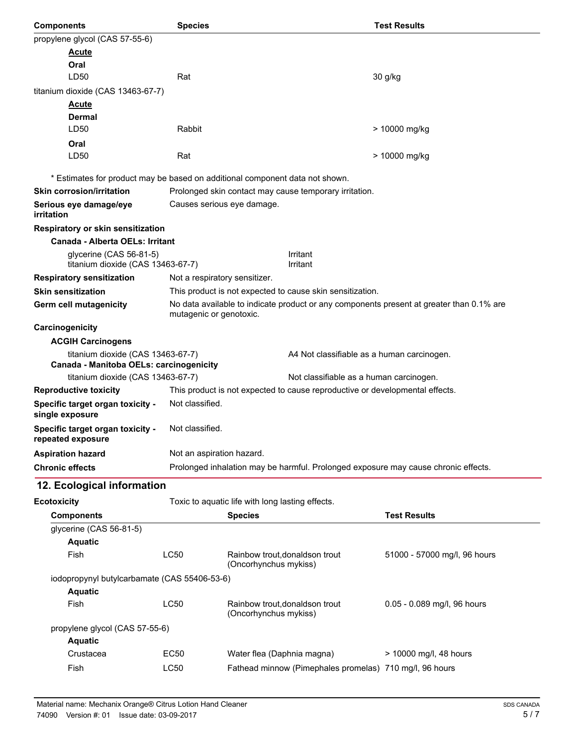| <b>Components</b>                                     | <b>Species</b>                |                                                                                          | <b>Test Results</b>          |
|-------------------------------------------------------|-------------------------------|------------------------------------------------------------------------------------------|------------------------------|
| propylene glycol (CAS 57-55-6)                        |                               |                                                                                          |                              |
| <b>Acute</b>                                          |                               |                                                                                          |                              |
| Oral                                                  |                               |                                                                                          |                              |
| LD50                                                  | Rat                           |                                                                                          | 30 g/kg                      |
| titanium dioxide (CAS 13463-67-7)                     |                               |                                                                                          |                              |
| <b>Acute</b>                                          |                               |                                                                                          |                              |
| Dermal                                                |                               |                                                                                          |                              |
| LD50                                                  | Rabbit                        |                                                                                          | > 10000 mg/kg                |
| Oral                                                  |                               |                                                                                          |                              |
| LD50                                                  | Rat                           |                                                                                          | > 10000 mg/kg                |
|                                                       |                               | * Estimates for product may be based on additional component data not shown.             |                              |
| <b>Skin corrosion/irritation</b>                      |                               | Prolonged skin contact may cause temporary irritation.                                   |                              |
| Serious eye damage/eye<br>irritation                  |                               | Causes serious eye damage.                                                               |                              |
| Respiratory or skin sensitization                     |                               |                                                                                          |                              |
| Canada - Alberta OELs: Irritant                       |                               |                                                                                          |                              |
| glycerine (CAS 56-81-5)                               |                               | Irritant                                                                                 |                              |
| titanium dioxide (CAS 13463-67-7)                     |                               | Irritant                                                                                 |                              |
| <b>Respiratory sensitization</b>                      | Not a respiratory sensitizer. |                                                                                          |                              |
| <b>Skin sensitization</b>                             |                               | This product is not expected to cause skin sensitization.                                |                              |
| Germ cell mutagenicity                                | mutagenic or genotoxic.       | No data available to indicate product or any components present at greater than 0.1% are |                              |
| Carcinogenicity                                       |                               |                                                                                          |                              |
| <b>ACGIH Carcinogens</b>                              |                               |                                                                                          |                              |
| titanium dioxide (CAS 13463-67-7)                     |                               | A4 Not classifiable as a human carcinogen.                                               |                              |
| Canada - Manitoba OELs: carcinogenicity               |                               |                                                                                          |                              |
| titanium dioxide (CAS 13463-67-7)                     |                               | Not classifiable as a human carcinogen.                                                  |                              |
| <b>Reproductive toxicity</b>                          |                               | This product is not expected to cause reproductive or developmental effects.             |                              |
| Specific target organ toxicity -<br>single exposure   | Not classified.               |                                                                                          |                              |
| Specific target organ toxicity -<br>repeated exposure | Not classified.               |                                                                                          |                              |
| <b>Aspiration hazard</b>                              | Not an aspiration hazard.     |                                                                                          |                              |
| <b>Chronic effects</b>                                |                               | Prolonged inhalation may be harmful. Prolonged exposure may cause chronic effects.       |                              |
| 12. Ecological information                            |                               |                                                                                          |                              |
| <b>Ecotoxicity</b>                                    |                               | Toxic to aquatic life with long lasting effects.                                         |                              |
| <b>Components</b>                                     |                               | <b>Species</b>                                                                           | <b>Test Results</b>          |
| glycerine (CAS 56-81-5)                               |                               |                                                                                          |                              |
| <b>Aquatic</b>                                        |                               |                                                                                          |                              |
| Fish                                                  | <b>LC50</b>                   | Rainbow trout, donaldson trout                                                           | 51000 - 57000 mg/l, 96 hours |
|                                                       |                               | (Oncorhynchus mykiss)                                                                    |                              |
| iodopropynyl butylcarbamate (CAS 55406-53-6)          |                               |                                                                                          |                              |
| <b>Aquatic</b>                                        |                               |                                                                                          |                              |
| Fish                                                  | <b>LC50</b>                   | Rainbow trout, donaldson trout<br>(Oncorhynchus mykiss)                                  | 0.05 - 0.089 mg/l, 96 hours  |
| propylene glycol (CAS 57-55-6)                        |                               |                                                                                          |                              |
| <b>Aquatic</b>                                        |                               |                                                                                          |                              |
| Crustacea                                             | <b>EC50</b>                   | Water flea (Daphnia magna)                                                               | > 10000 mg/l, 48 hours       |
| Fish                                                  | <b>LC50</b>                   | Fathead minnow (Pimephales promelas) 710 mg/l, 96 hours                                  |                              |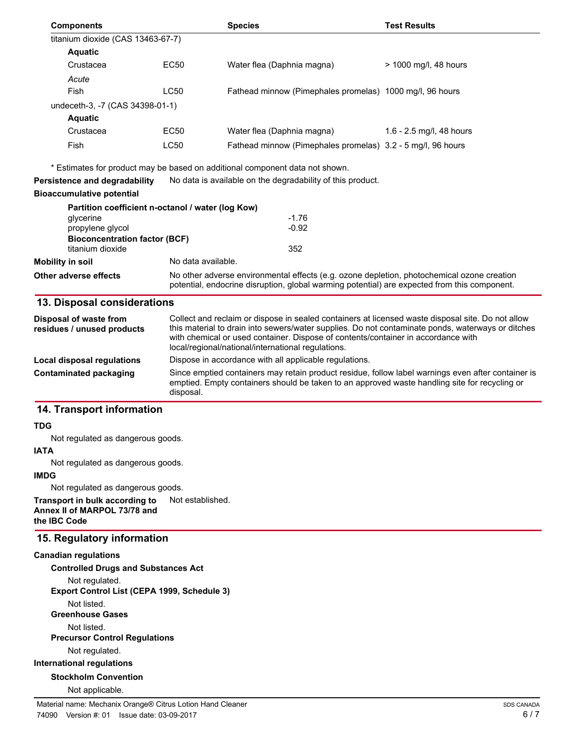| <b>Components</b>                                        |                                                   | <b>Species</b>                                                               | Test Results             |
|----------------------------------------------------------|---------------------------------------------------|------------------------------------------------------------------------------|--------------------------|
| titanium dioxide (CAS 13463-67-7)                        |                                                   |                                                                              |                          |
| <b>Aquatic</b>                                           |                                                   |                                                                              |                          |
| Crustacea                                                | EC50                                              | Water flea (Daphnia magna)                                                   | $>$ 1000 mg/l, 48 hours  |
| Acute                                                    |                                                   |                                                                              |                          |
| Fish                                                     | LC50                                              | Fathead minnow (Pimephales promelas) 1000 mg/l, 96 hours                     |                          |
| undeceth-3, -7 (CAS 34398-01-1)                          |                                                   |                                                                              |                          |
| <b>Aquatic</b>                                           |                                                   |                                                                              |                          |
| Crustacea                                                | EC50                                              | Water flea (Daphnia magna)                                                   | 1.6 - 2.5 mg/l, 48 hours |
| Fish                                                     | LC50                                              | Fathead minnow (Pimephales promelas) 3.2 - 5 mg/l, 96 hours                  |                          |
|                                                          |                                                   | * Estimates for product may be based on additional component data not shown. |                          |
| Persistence and degradability                            |                                                   | No data is available on the degradability of this product.                   |                          |
| Bioaccumulative potential                                |                                                   |                                                                              |                          |
|                                                          | Partition coefficient n-octanol / water (log Kow) |                                                                              |                          |
| glycerine                                                |                                                   | $-1.76$                                                                      |                          |
| propylene glycol                                         |                                                   | $-0.92$                                                                      |                          |
| <b>Bioconcentration factor (BCF)</b><br>titanium dioxide |                                                   | 352                                                                          |                          |
|                                                          |                                                   |                                                                              |                          |

| titanium dioxide      | 352                                                                                                                                                                                        |  |
|-----------------------|--------------------------------------------------------------------------------------------------------------------------------------------------------------------------------------------|--|
| Mobility in soil      | No data available.                                                                                                                                                                         |  |
| Other adverse effects | No other adverse environmental effects (e.g. ozone depletion, photochemical ozone creation<br>potential, endocrine disruption, global warming potential) are expected from this component. |  |

### **13. Disposal considerations**

| Disposal of waste from<br>residues / unused products | Collect and reclaim or dispose in sealed containers at licensed waste disposal site. Do not allow<br>this material to drain into sewers/water supplies. Do not contaminate ponds, waterways or ditches<br>with chemical or used container. Dispose of contents/container in accordance with<br>local/regional/national/international regulations. |
|------------------------------------------------------|---------------------------------------------------------------------------------------------------------------------------------------------------------------------------------------------------------------------------------------------------------------------------------------------------------------------------------------------------|
| Local disposal regulations                           | Dispose in accordance with all applicable regulations.                                                                                                                                                                                                                                                                                            |
| <b>Contaminated packaging</b>                        | Since emptied containers may retain product residue, follow label warnings even after container is<br>emptied. Empty containers should be taken to an approved waste handling site for recycling or<br>disposal.                                                                                                                                  |

#### **14. Transport information**

#### **TDG**

Not regulated as dangerous goods.

#### **IATA**

Not regulated as dangerous goods.

#### **IMDG**

Not regulated as dangerous goods.

**Transport in bulk according to** Not established. **Annex II of MARPOL 73/78 and the IBC Code**

### **15. Regulatory information**

#### **Canadian regulations**

**Controlled Drugs and Substances Act** Not regulated.

**Export Control List (CEPA 1999, Schedule 3)**

Not listed.

**Greenhouse Gases**

Not listed.

**Precursor Control Regulations**

Not regulated.

## **International regulations**

#### **Stockholm Convention**

Not applicable.